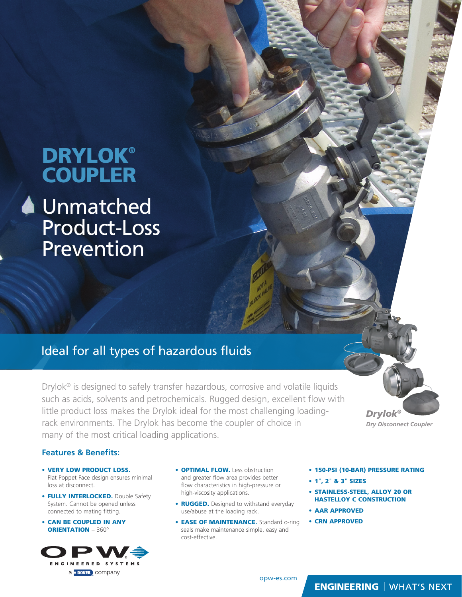# **DRYLOK® COUPLER**

**4** Unmatched Product-Loss Prevention

# Ideal for all types of hazardous fluids

Drylok® is designed to safely transfer hazardous, corrosive and volatile liquids such as acids, solvents and petrochemicals. Rugged design, excellent flow with little product loss makes the Drylok ideal for the most challenging loadingrack environments. The Drylok has become the coupler of choice in many of the most critical loading applications.

*Drylok® Dry Disconnect Coupler*

#### **Features & Benefits:**

- VERY LOW PRODUCT LOSS. Flat Poppet Face design ensures minimal loss at disconnect.
- FULLY INTERLOCKED. Double Safety System. Cannot be opened unless connected to mating fitting.
- CAN BE COUPLED IN ANY ORIENTATION – 360º



- **OPTIMAL FLOW.** Less obstruction and greater flow area provides better flow characteristics in high-pressure or high-viscosity applications.
- RUGGED. Designed to withstand everyday use/abuse at the loading rack.
- EASE OF MAINTENANCE. Standard o-ring seals make maintenance simple, easy and cost-effective.
- 150-PSI (10-BAR) PRESSURE RATING
- 1", 2" & 3" SIZES
- STAINLESS-STEEL, ALLOY 20 OR HASTELLOY C CONSTRUCTION
- AAR APPROVED
- CRN APPROVED

#### **ENGINEERING** | WHAT'S NEXT